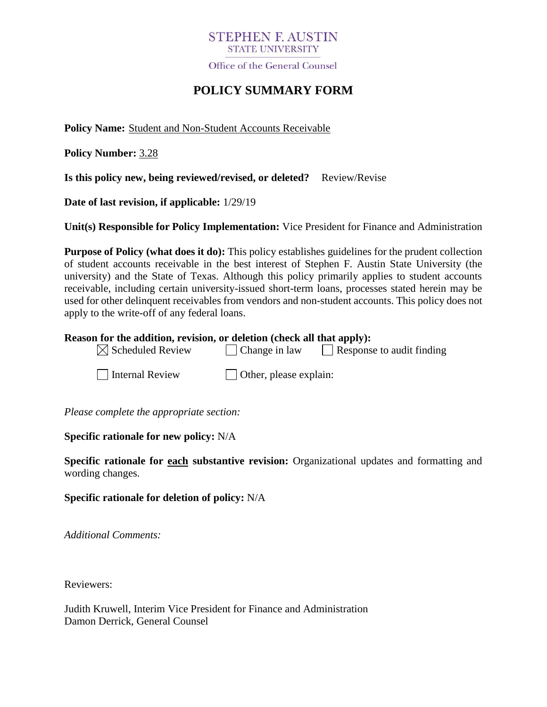## **STEPHEN E AUSTIN STATE UNIVERSITY**

Office of the General Counsel

# **POLICY SUMMARY FORM**

**Policy Name:** Student and Non-Student Accounts Receivable

**Policy Number:** 3.28

**Is this policy new, being reviewed/revised, or deleted?** Review/Revise

**Date of last revision, if applicable:** 1/29/19

**Unit(s) Responsible for Policy Implementation:** Vice President for Finance and Administration

**Purpose of Policy (what does it do):** This policy establishes guidelines for the prudent collection of student accounts receivable in the best interest of Stephen F. Austin State University (the university) and the State of Texas. Although this policy primarily applies to student accounts receivable, including certain university-issued short-term loans, processes stated herein may be used for other delinquent receivables from vendors and non-student accounts. This policy does not apply to the write-off of any federal loans.

#### **Reason for the addition, revision, or deletion (check all that apply):**

 $\boxtimes$  Scheduled Review  $\Box$  Change in law  $\Box$  Response to audit finding

 $\Box$  Internal Review  $\Box$  Other, please explain:

*Please complete the appropriate section:*

**Specific rationale for new policy:** N/A

**Specific rationale for each substantive revision:** Organizational updates and formatting and wording changes.

**Specific rationale for deletion of policy:** N/A

*Additional Comments:*

Reviewers:

Judith Kruwell, Interim Vice President for Finance and Administration Damon Derrick, General Counsel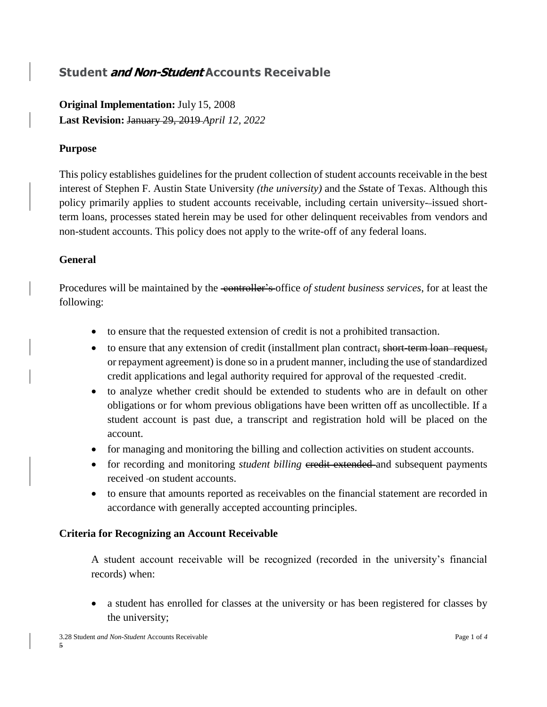# **Student and Non-Student Accounts Receivable**

**Original Implementation:** July 15, 2008 **Last Revision:** January 29, 2019 *April 12, 2022*

### **Purpose**

This policy establishes guidelines for the prudent collection of student accounts receivable in the best interest of Stephen F. Austin State University *(the university)* and the *S*state of Texas. Although this policy primarily applies to student accounts receivable, including certain university*-* issued shortterm loans, processes stated herein may be used for other delinquent receivables from vendors and non-student accounts. This policy does not apply to the write-off of any federal loans.

#### **General**

Procedures will be maintained by the <del>controller's</del> office *of student business services*, for at least the following:

- to ensure that the requested extension of credit is not a prohibited transaction.
- to ensure that any extension of credit (installment plan contract, short-term loan request, or repayment agreement) is done so in a prudent manner, including the use of standardized credit applications and legal authority required for approval of the requested credit.
- to analyze whether credit should be extended to students who are in default on other obligations or for whom previous obligations have been written off as uncollectible. If a student account is past due, a transcript and registration hold will be placed on the account.
- for managing and monitoring the billing and collection activities on student accounts.
- for recording and monitoring *student billing* eredit extended and subsequent payments received on student accounts.
- to ensure that amounts reported as receivables on the financial statement are recorded in accordance with generally accepted accounting principles.

#### **Criteria for Recognizing an Account Receivable**

A student account receivable will be recognized (recorded in the university's financial records) when:

• a student has enrolled for classes at the university or has been registered for classes by the university;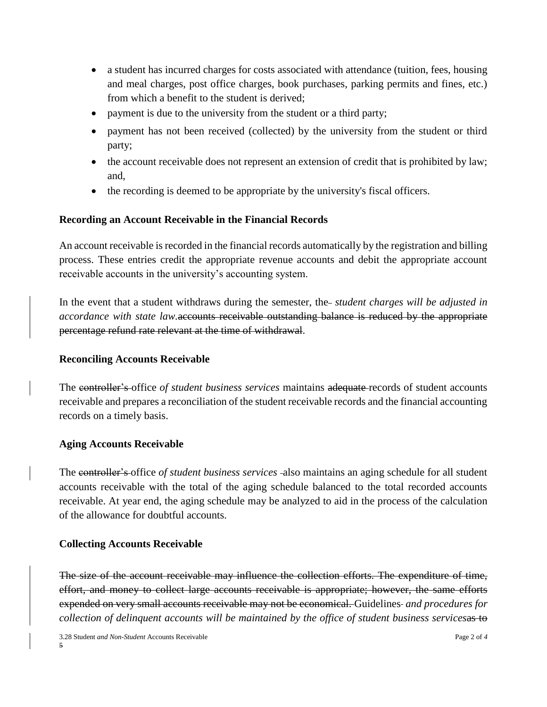- a student has incurred charges for costs associated with attendance (tuition, fees, housing and meal charges, post office charges, book purchases, parking permits and fines, etc.) from which a benefit to the student is derived;
- payment is due to the university from the student or a third party;
- payment has not been received (collected) by the university from the student or third party;
- the account receivable does not represent an extension of credit that is prohibited by law; and,
- the recording is deemed to be appropriate by the university's fiscal officers.

## **Recording an Account Receivable in the Financial Records**

An account receivable is recorded in the financial records automatically by the registration and billing process. These entries credit the appropriate revenue accounts and debit the appropriate account receivable accounts in the university's accounting system.

In the event that a student withdraws during the semester, the-*student charges will be adjusted in accordance with state law.*accounts receivable outstanding balance is reduced by the appropriate percentage refund rate relevant at the time of withdrawal.

#### **Reconciling Accounts Receivable**

The controller's office *of student business services* maintains adequate records of student accounts receivable and prepares a reconciliation of the student receivable records and the financial accounting records on a timely basis.

## **Aging Accounts Receivable**

The controller's office *of student business services* also maintains an aging schedule for all student accounts receivable with the total of the aging schedule balanced to the total recorded accounts receivable. At year end, the aging schedule may be analyzed to aid in the process of the calculation of the allowance for doubtful accounts.

## **Collecting Accounts Receivable**

The size of the account receivable may influence the collection efforts. The expenditure of time, effort, and money to collect large accounts receivable is appropriate; however, the same efforts expended on very small accounts receivable may not be economical. Guidelines- and procedures for *collection of delinquent accounts will be maintained by the office of student business services*as to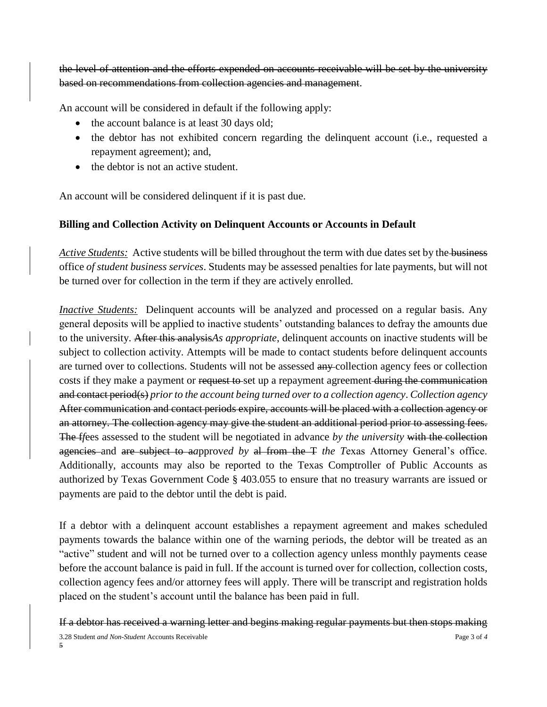the level of attention and the efforts expended on accounts receivable will be set by the university based on recommendations from collection agencies and management.

An account will be considered in default if the following apply:

- the account balance is at least 30 days old;
- the debtor has not exhibited concern regarding the delinquent account (i.e., requested a repayment agreement); and,
- the debtor is not an active student.

An account will be considered delinquent if it is past due.

## **Billing and Collection Activity on Delinquent Accounts or Accounts in Default**

*Active Students:* Active students will be billed throughout the term with due dates set by the business office *of student business services*. Students may be assessed penalties for late payments, but will not be turned over for collection in the term if they are actively enrolled.

*Inactive Students:* Delinquent accounts will be analyzed and processed on a regular basis. Any general deposits will be applied to inactive students' outstanding balances to defray the amounts due to the university. After this analysis*As appropriate*, delinquent accounts on inactive students will be subject to collection activity. Attempts will be made to contact students before delinquent accounts are turned over to collections. Students will not be assessed any collection agency fees or collection costs if they make a payment or request to set up a repayment agreement during the communication and contact period(s) *prior to the account being turned over to a collection agency*. *Collection agency*  After communication and contact periods expire, accounts will be placed with a collection agency or an attorney. The collection agency may give the student an additional period prior to assessing fees. The f*f*ees assessed to the student will be negotiated in advance *by the university* with the collection agencies and are subject to a*a*pprov*ed by* al from the T *the T*exas Attorney General's office. Additionally, accounts may also be reported to the Texas Comptroller of Public Accounts as authorized by Texas Government Code § 403.055 to ensure that no treasury warrants are issued or payments are paid to the debtor until the debt is paid.

If a debtor with a delinquent account establishes a repayment agreement and makes scheduled payments towards the balance within one of the warning periods, the debtor will be treated as an "active" student and will not be turned over to a collection agency unless monthly payments cease before the account balance is paid in full. If the account is turned over for collection, collection costs, collection agency fees and/or attorney fees will apply. There will be transcript and registration holds placed on the student's account until the balance has been paid in full.

If a debtor has received a warning letter and begins making regular payments but then stops making

3.28 Student *and Non-Student* Accounts Receivable Page 3 of *4* 5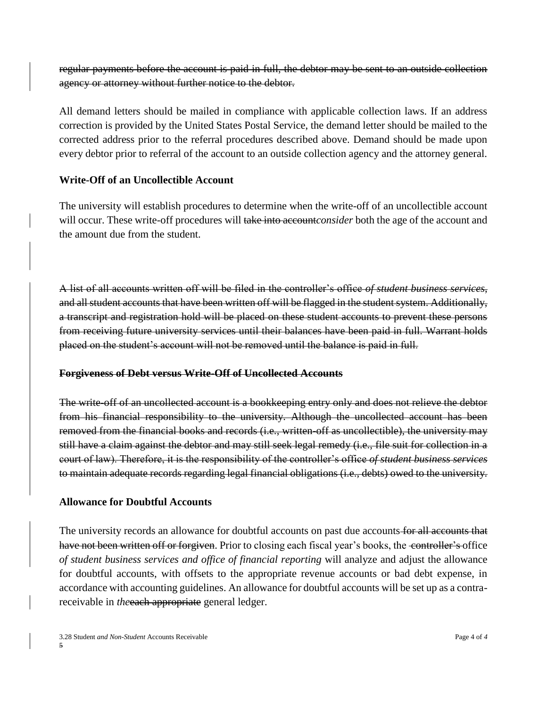regular payments before the account is paid in full, the debtor may be sent to an outside collection agency or attorney without further notice to the debtor.

All demand letters should be mailed in compliance with applicable collection laws. If an address correction is provided by the United States Postal Service, the demand letter should be mailed to the corrected address prior to the referral procedures described above. Demand should be made upon every debtor prior to referral of the account to an outside collection agency and the attorney general.

## **Write-Off of an Uncollectible Account**

The university will establish procedures to determine when the write-off of an uncollectible account will occur. These write-off procedures will take into account*consider* both the age of the account and the amount due from the student.

A list of all accounts written off will be filed in the controller's office *of student business services*, and all student accounts that have been written off will be flagged in the student system. Additionally, a transcript and registration hold will be placed on these student accounts to prevent these persons from receiving future university services until their balances have been paid in full. Warrant holds placed on the student's account will not be removed until the balance is paid in full.

## **Forgiveness of Debt versus Write-Off of Uncollected Accounts**

The write-off of an uncollected account is a bookkeeping entry only and does not relieve the debtor from his financial responsibility to the university. Although the uncollected account has been removed from the financial books and records (i.e., written-off as uncollectible), the university may still have a claim against the debtor and may still seek legal remedy (i.e., file suit for collection in a court of law). Therefore, it is the responsibility of the controller's office *of student business services* to maintain adequate records regarding legal financial obligations (i.e., debts) owed to the university.

# **Allowance for Doubtful Accounts**

The university records an allowance for doubtful accounts on past due accounts for all accounts that have not been written off or forgiven. Prior to closing each fiscal year's books, the controller's office *of student business services and office of financial reporting* will analyze and adjust the allowance for doubtful accounts, with offsets to the appropriate revenue accounts or bad debt expense, in accordance with accounting guidelines. An allowance for doubtful accounts will be set up as a contrareceivable in *the* each appropriate general ledger.